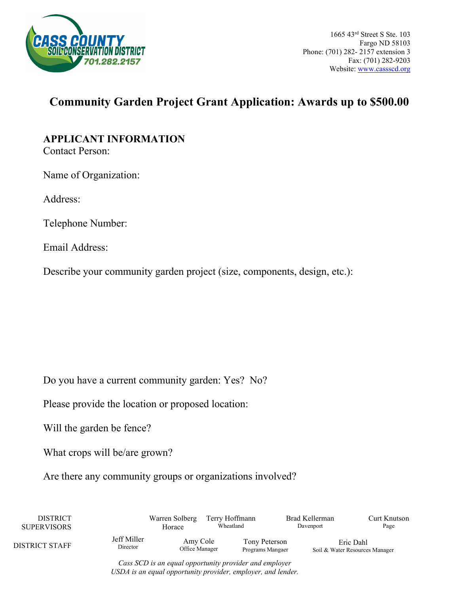

## **Community Garden Project Grant Application: Awards up to \$500.00**

## **APPLICANT INFORMATION**

Contact Person:

Name of Organization:

Address:

Telephone Number:

Email Address:

Describe your community garden project (size, components, design, etc.):

Do you have a current community garden: Yes? No?

Please provide the location or proposed location:

Will the garden be fence?

What crops will be/are grown?

Are there any community groups or organizations involved?

| <b>DISTRICT</b><br><b>SUPERVISORS</b> |                         |                            | Terry Hoffmann<br>Wheatland |                                   | Brad Kellerman<br>Davenport | Curt Knutson<br>Page                        |
|---------------------------------------|-------------------------|----------------------------|-----------------------------|-----------------------------------|-----------------------------|---------------------------------------------|
| DISTRICT STAFF                        | Jeff Miller<br>Director | Amy Cole<br>Office Manager |                             | Tony Peterson<br>Programs Mangaer |                             | Eric Dahl<br>Soil & Water Resources Manager |

*Cass SCD is an equal opportunity provider and employer USDA is an equal opportunity provider, employer, and lender.*